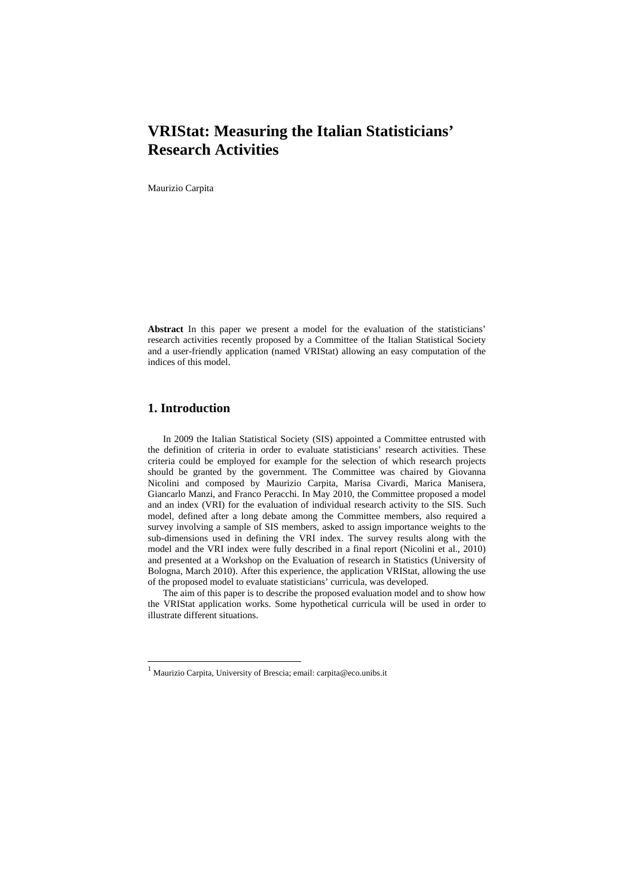# **VRIStat: Measuring the Italian Statisticians' Research Activities**

Maurizio Carpita

**Abstract** In this paper we present a model for the evaluation of the statisticians' research activities recently proposed by a Committee of the Italian Statistical Society and a user-friendly application (named VRIStat) allowing an easy computation of the indices of this model.

## **1. Introduction**

In 2009 the Italian Statistical Society (SIS) appointed a Committee entrusted with the definition of criteria in order to evaluate statisticians' research activities. These criteria could be employed for example for the selection of which research projects should be granted by the government. The Committee was chaired by Giovanna Nicolini and composed by Maurizio Carpita, Marisa Civardi, Marica Manisera, Giancarlo Manzi, and Franco Peracchi. In May 2010, the Committee proposed a model and an index (VRI) for the evaluation of individual research activity to the SIS. Such model, defined after a long debate among the Committee members, also required a survey involving a sample of SIS members, asked to assign importance weights to the sub-dimensions used in defining the VRI index. The survey results along with the model and the VRI index were fully described in a final report (Nicolini et al., 2010) and presented at a Workshop on the Evaluation of research in Statistics (University of Bologna, March 2010). After this experience, the application VRIStat, allowing the use of the proposed model to evaluate statisticians' curricula, was developed.

The aim of this paper is to describe the proposed evaluation model and to show how the VRIStat application works. Some hypothetical curricula will be used in order to illustrate different situations.

 1 Maurizio Carpita, University of Brescia; email: carpita@eco.unibs.it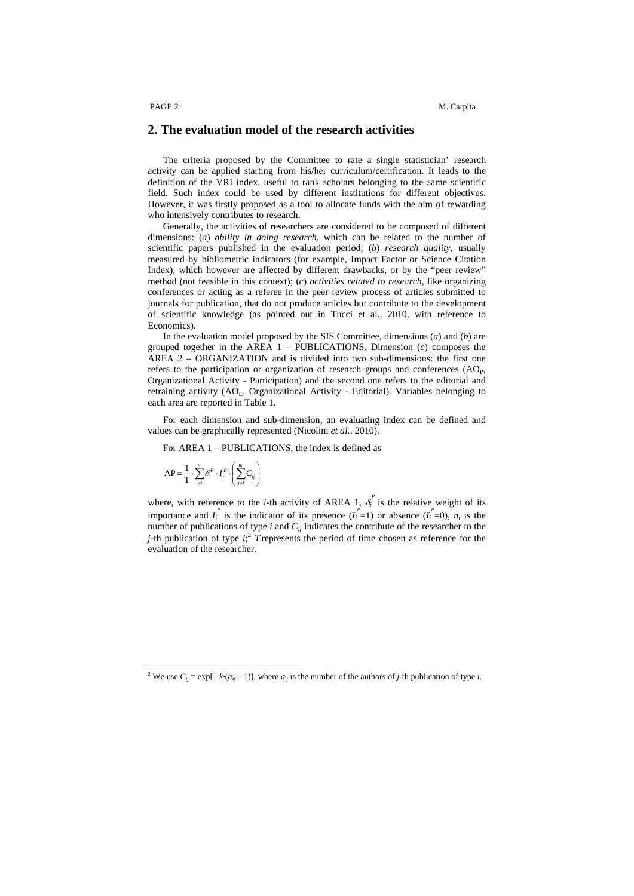### **2. The evaluation model of the research activities**

The criteria proposed by the Committee to rate a single statistician' research activity can be applied starting from his/her curriculum/certification. It leads to the definition of the VRI index, useful to rank scholars belonging to the same scientific field. Such index could be used by different institutions for different objectives. However, it was firstly proposed as a tool to allocate funds with the aim of rewarding who intensively contributes to research.

Generally, the activities of researchers are considered to be composed of different dimensions: (*a*) *ability in doing research*, which can be related to the number of scientific papers published in the evaluation period; (*b*) *research quality*, usually measured by bibliometric indicators (for example, Impact Factor or Science Citation Index), which however are affected by different drawbacks, or by the "peer review" method (not feasible in this context); (*c*) *activities related to research*, like organizing conferences or acting as a referee in the peer review process of articles submitted to journals for publication, that do not produce articles but contribute to the development of scientific knowledge (as pointed out in Tucci et al., 2010, with reference to Economics).

In the evaluation model proposed by the SIS Committee, dimensions (*a*) and (*b*) are grouped together in the AREA 1 – PUBLICATIONS. Dimension (*c*) composes the AREA 2 – ORGANIZATION and is divided into two sub-dimensions: the first one refers to the participation or organization of research groups and conferences  $(AO<sub>P</sub>)$ , Organizational Activity - Participation) and the second one refers to the editorial and retraining activity (AO<sub>E</sub>, Organizational Activity - Editorial). Variables belonging to each area are reported in Table 1.

For each dimension and sub-dimension, an evaluating index can be defined and values can be graphically represented (Nicolini *et al.*, 2010).

For AREA 1 – PUBLICATIONS, the index is defined as

$$
AP = \frac{1}{T} \cdot \sum_{i=1}^{9} \delta_i^P \cdot I_i^P \cdot \left(\sum_{j=1}^{n_i} C_{ij}\right)
$$

 $\overline{a}$ 

where, with reference to the *i*-th activity of AREA 1,  $\delta_i^p$  is the relative weight of its importance and  $I_i^P$  is the indicator of its presence  $(I_i^P=1)$  or absence  $(I_i^P=0)$ ,  $n_i$  is the number of publications of type *i* and *Cij* indicates the contribute of the researcher to the *j*-th publication of type  $i$ ; *T* represents the period of time chosen as reference for the evaluation of the researcher.

<sup>&</sup>lt;sup>2</sup> We use  $C_{ij} = \exp[-k \cdot (a_{ij} - 1)]$ , where  $a_{ij}$  is the number of the authors of *j*-th publication of type *i*.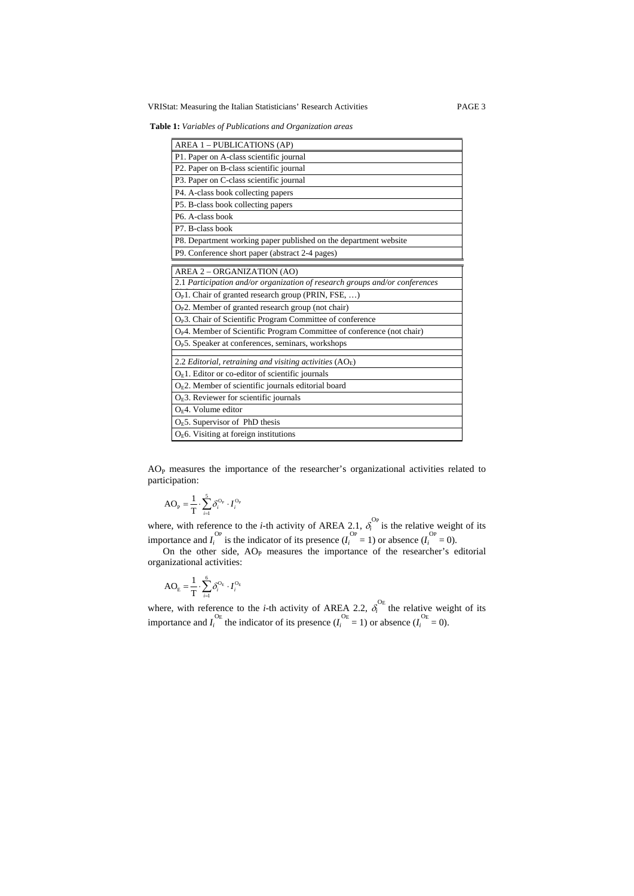VRIStat: Measuring the Italian Statisticians' Research Activities PAGE 3

**Table 1:** *Variables of Publications and Organization areas*

| AREA 1 - PUBLICATIONS (AP)                                                         |
|------------------------------------------------------------------------------------|
| P1. Paper on A-class scientific journal                                            |
| P2. Paper on B-class scientific journal                                            |
| P3. Paper on C-class scientific journal                                            |
| P4. A-class book collecting papers                                                 |
| P5. B-class book collecting papers                                                 |
| P6. A-class book                                                                   |
| P7. B-class book                                                                   |
| P8. Department working paper published on the department website                   |
| P9. Conference short paper (abstract 2-4 pages)                                    |
|                                                                                    |
| AREA 2 - ORGANIZATION (AO)                                                         |
| 2.1 Participation and/or organization of research groups and/or conferences        |
| $OP1$ . Chair of granted research group (PRIN, FSE, )                              |
| $O_P2$ . Member of granted research group (not chair)                              |
| O <sub>P</sub> 3. Chair of Scientific Program Committee of conference              |
| O <sub>P</sub> 4. Member of Scientific Program Committee of conference (not chair) |
| O <sub>P</sub> 5. Speaker at conferences, seminars, workshops                      |
| 2.2 Editorial, retraining and visiting activities $(AO_E)$                         |
| $OE1$ . Editor or co-editor of scientific journals                                 |
| $OE2$ . Member of scientific journals editorial board                              |
| $OE$ 3. Reviewer for scientific journals                                           |
| $OF4$ . Volume editor                                                              |
| $OE5$ . Supervisor of PhD thesis                                                   |
| $OE6$ . Visiting at foreign institutions                                           |

AOP measures the importance of the researcher's organizational activities related to participation:

$$
AO_{P} = \frac{1}{T} \cdot \sum_{i=1}^{5} \delta_i^{O_{P}} \cdot I_i^{O_{P}}
$$

where, with reference to the *i*-th activity of AREA 2.1,  $\delta_i^{\text{Op}}$  is the relative weight of its importance and  $I_i^{\text{Op}}$  is the indicator of its presence  $(I_i^{\text{Op}} = 1)$  or absence  $(I_i^{\text{Op}} = 0)$ .

On the other side,  $AO<sub>P</sub>$  measures the importance of the researcher's editorial organizational activities:

$$
AO_E = \frac{1}{T} \cdot \sum_{i=1}^{6} \delta_i^{O_E} \cdot I_i^{O_E}
$$

where, with reference to the *i*-th activity of AREA 2.2,  $\delta_i^{OE}$  the relative weight of its importance and  $I_i^{\text{OE}}$  the indicator of its presence ( $I_i^{\text{OE}} = 1$ ) or absence ( $I_i^{\text{OE}} = 0$ ).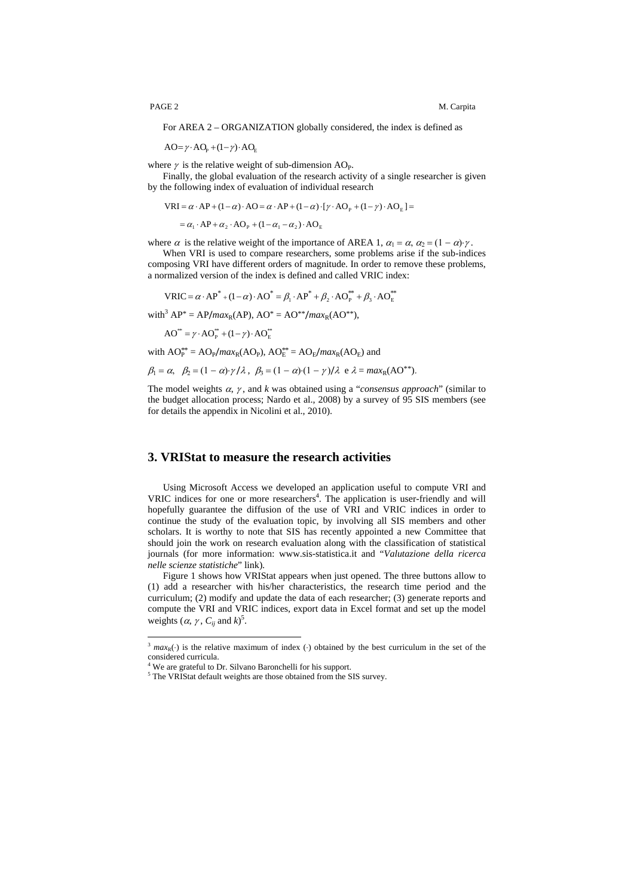For AREA 2 – ORGANIZATION globally considered, the index is defined as

 $AO = \gamma \cdot AO_p + (1 - \gamma) \cdot AO_p$ 

where  $\gamma$  is the relative weight of sub-dimension AO<sub>P</sub>.

Finally, the global evaluation of the research activity of a single researcher is given by the following index of evaluation of individual research

$$
VRI = \alpha \cdot AP + (1 - \alpha) \cdot AO = \alpha \cdot AP + (1 - \alpha) \cdot [\gamma \cdot AO_{P} + (1 - \gamma) \cdot AO_{E}] =
$$

 $= \alpha_1 \cdot AP + \alpha_2 \cdot AO_{P} + (1 - \alpha_1 - \alpha_2) \cdot AO_{E}$ 

where  $\alpha$  is the relative weight of the importance of AREA 1,  $\alpha_1 = \alpha$ ,  $\alpha_2 = (1 - \alpha) \gamma$ .

When VRI is used to compare researchers, some problems arise if the sub-indices composing VRI have different orders of magnitude. In order to remove these problems, a normalized version of the index is defined and called VRIC index:

 $VRIC = \alpha \cdot AP^* + (1 - \alpha) \cdot AO^* = \beta_1 \cdot AP^* + \beta_2 \cdot AO_P^{**} + \beta_3 \cdot AO_E^{**}$ 

 $with^3 AP^* = AP/max_R(AP)$ ,  $AO^* = AO^{**}/max_R(AO^{**})$ ,

 $AO^{**} = \gamma \cdot AO_P^{**} + (1 - \gamma) \cdot AO_E^{**}$ 

with  $AO_P^{**} = AO_P/max_R(AO_P)$ ,  $AO_E^{**} = AO_E/max_R(AO_E)$  and

$$
\beta_1 = \alpha, \quad \beta_2 = (1 - \alpha) \cdot \gamma / \lambda, \quad \beta_3 = (1 - \alpha) \cdot (1 - \gamma) / \lambda \quad e \quad \lambda = \max_R(\text{AO}^{**}).
$$

The model weights  $\alpha$ ,  $\gamma$ , and *k* was obtained using a "*consensus approach*" (similar to the budget allocation process; Nardo et al., 2008) by a survey of 95 SIS members (see for details the appendix in Nicolini et al., 2010).

### **3. VRIStat to measure the research activities**

Using Microsoft Access we developed an application useful to compute VRI and VRIC indices for one or more researchers<sup>4</sup>. The application is user-friendly and will hopefully guarantee the diffusion of the use of VRI and VRIC indices in order to continue the study of the evaluation topic, by involving all SIS members and other scholars. It is worthy to note that SIS has recently appointed a new Committee that should join the work on research evaluation along with the classification of statistical journals (for more information: www.sis-statistica.it and "*Valutazione della ricerca nelle scienze statistiche*" link).

Figure 1 shows how VRIStat appears when just opened. The three buttons allow to (1) add a researcher with his/her characteristics, the research time period and the curriculum; (2) modify and update the data of each researcher; (3) generate reports and compute the VRI and VRIC indices, export data in Excel format and set up the model weights  $(\alpha, \gamma, C_{ij} \text{ and } k)^5$ .

 $\overline{a}$ 

<sup>&</sup>lt;sup>3</sup>  $max_{R}(\cdot)$  is the relative maximum of index (·) obtained by the best curriculum in the set of the considered curricula.

<sup>&</sup>lt;sup>4</sup> We are grateful to Dr. Silvano Baronchelli for his support.

 $5$  The VRIStat default weights are those obtained from the SIS survey.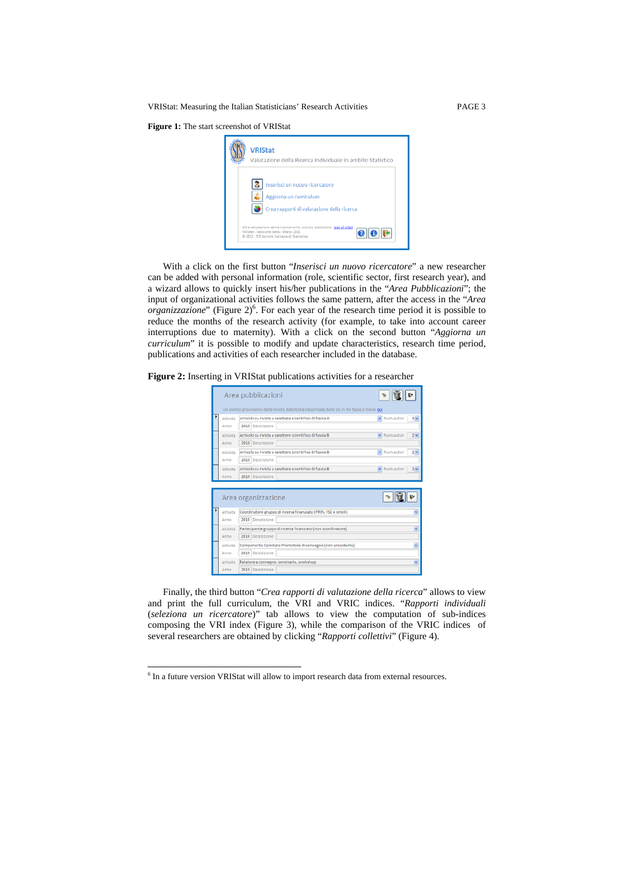VRIStat: Measuring the Italian Statisticians' Research Activities PAGE 3

**Figure 1:** The start screenshot of VRIStat



With a click on the first button "*Inserisci un nuovo ricercatore*" a new researcher can be added with personal information (role, scientific sector, first research year), and a wizard allows to quickly insert his/her publications in the "*Area Pubblicazioni*"; the input of organizational activities follows the same pattern, after the access in the "*Area*  organizzazione" (Figure 2)<sup>6</sup>. For each year of the research time period it is possible to reduce the months of the research activity (for example, to take into account career interruptions due to maternity). With a click on the second button "*Aggiorna un curriculum*" it is possible to modify and update characteristics, research time period, publications and activities of each researcher included in the database.

**Figure 2:** Inserting in VRIStat publications activities for a researcher



Finally, the third button "*Crea rapporti di valutazione della ricerca*" allows to view and print the full curriculum, the VRI and VRIC indices. "*Rapporti individuali* (*seleziona un ricercatore*)" tab allows to view the computation of sub-indices composing the VRI index (Figure 3), while the comparison of the VRIC indices of several researchers are obtained by clicking "*Rapporti collettivi*" (Figure 4).

 $\overline{a}$ 

<sup>&</sup>lt;sup>6</sup> In a future version VRIStat will allow to import research data from external resources.